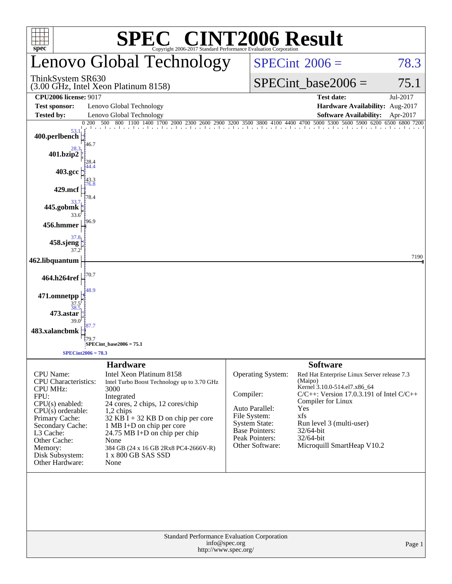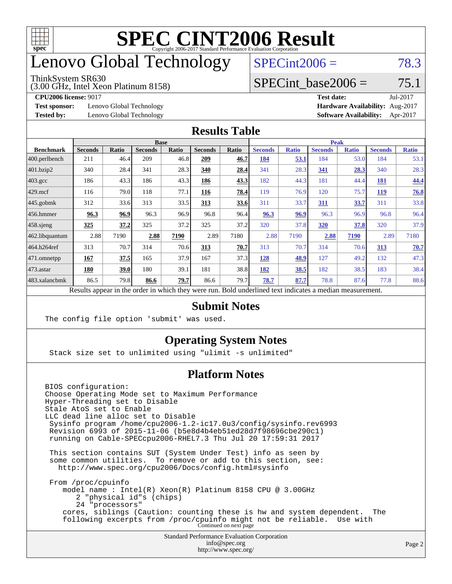

# enovo Global Technology

#### ThinkSystem SR630

(3.00 GHz, Intel Xeon Platinum 8158)

 $SPECint2006 = 78.3$  $SPECint2006 = 78.3$ 

### SPECint base2006 =  $75.1$

**[Test sponsor:](http://www.spec.org/auto/cpu2006/Docs/result-fields.html#Testsponsor)** Lenovo Global Technology **[Hardware Availability:](http://www.spec.org/auto/cpu2006/Docs/result-fields.html#HardwareAvailability)** Aug-2017

**[CPU2006 license:](http://www.spec.org/auto/cpu2006/Docs/result-fields.html#CPU2006license)** 9017 **[Test date:](http://www.spec.org/auto/cpu2006/Docs/result-fields.html#Testdate)** Jul-2017 **[Tested by:](http://www.spec.org/auto/cpu2006/Docs/result-fields.html#Testedby)** Lenovo Global Technology **[Software Availability:](http://www.spec.org/auto/cpu2006/Docs/result-fields.html#SoftwareAvailability)** Apr-2017

#### **[Results Table](http://www.spec.org/auto/cpu2006/Docs/result-fields.html#ResultsTable)**

|                                                                                                          | <b>Base</b>    |              |                |       |                |       | <b>Peak</b>    |              |                |              |                |              |
|----------------------------------------------------------------------------------------------------------|----------------|--------------|----------------|-------|----------------|-------|----------------|--------------|----------------|--------------|----------------|--------------|
| <b>Benchmark</b>                                                                                         | <b>Seconds</b> | <b>Ratio</b> | <b>Seconds</b> | Ratio | <b>Seconds</b> | Ratio | <b>Seconds</b> | <b>Ratio</b> | <b>Seconds</b> | <b>Ratio</b> | <b>Seconds</b> | <b>Ratio</b> |
| 400.perlbench                                                                                            | 211            | 46.4         | 209            | 46.8  | 209            | 46.7  | 184            | 53.1         | 184            | 53.0         | 184            | 53.1         |
| $401$ .bzip2                                                                                             | 340            | 28.4         | 341            | 28.3  | 340            | 28.4  | 341            | 28.3         | 341            | 28.3         | 340            | 28.3         |
| $403.\text{gcc}$                                                                                         | 186            | 43.3         | 186            | 43.3  | 186            | 43.3  | 182            | 44.3         | 181            | 44.4         | 181            | 44.4         |
| $429$ mcf                                                                                                | 116            | 79.0         | 118            | 77.1  | 116            | 78.4  | 119            | 76.9         | 120            | 75.7         | 119            | 76.8         |
| $445$ .gobmk                                                                                             | 312            | 33.6         | 313            | 33.5  | 313            | 33.6  | 311            | 33.7         | 311            | 33.7         | 311            | 33.8         |
| 456.hmmer                                                                                                | 96.3           | 96.9         | 96.3           | 96.9  | 96.8           | 96.4  | 96.3           | 96.9         | 96.3           | 96.9         | 96.8           | 96.4         |
| $ 458 \text{.}$ sjeng                                                                                    | <u>325</u>     | 37.2         | 325            | 37.2  | 325            | 37.2  | 320            | 37.8         | 320            | 37.8         | 320            | 37.9         |
| 462.libquantum                                                                                           | 2.88           | 7190         | 2.88           | 7190  | 2.89           | 7180  | 2.88           | 7190         | 2.88           | 7190         | 2.89           | 7180         |
| 464.h264ref                                                                                              | 313            | 70.7         | 314            | 70.6  | 313            | 70.7  | 313            | 70.7         | 314            | 70.6         | 313            | 70.7         |
| $ 471$ .omnetpp                                                                                          | 167            | 37.5         | 165            | 37.9  | 167            | 37.3  | 128            | 48.9         | 127            | 49.2         | 132            | 47.3         |
| $473$ . astar                                                                                            | 180            | 39.0         | 180            | 39.1  | 181            | 38.8  | 182            | 38.5         | 182            | 38.5         | 183            | 38.4         |
| 483.xalancbmk                                                                                            | 86.5           | 79.8         | 86.6           | 79.7  | 86.6           | 79.7  | 78.7           | 87.7         | 78.8           | 87.6         | 77.8           | 88.6         |
| Results appear in the order in which they were run. Bold underlined text indicates a median measurement. |                |              |                |       |                |       |                |              |                |              |                |              |

#### **[Submit Notes](http://www.spec.org/auto/cpu2006/Docs/result-fields.html#SubmitNotes)**

The config file option 'submit' was used.

### **[Operating System Notes](http://www.spec.org/auto/cpu2006/Docs/result-fields.html#OperatingSystemNotes)**

Stack size set to unlimited using "ulimit -s unlimited"

### **[Platform Notes](http://www.spec.org/auto/cpu2006/Docs/result-fields.html#PlatformNotes)**

Standard Performance Evaluation Corporation [info@spec.org](mailto:info@spec.org) BIOS configuration: Choose Operating Mode set to Maximum Performance Hyper-Threading set to Disable Stale AtoS set to Enable LLC dead line alloc set to Disable Sysinfo program /home/cpu2006-1.2-ic17.0u3/config/sysinfo.rev6993 Revision 6993 of 2015-11-06 (b5e8d4b4eb51ed28d7f98696cbe290c1) running on Cable-SPECcpu2006-RHEL7.3 Thu Jul 20 17:59:31 2017 This section contains SUT (System Under Test) info as seen by some common utilities. To remove or add to this section, see: <http://www.spec.org/cpu2006/Docs/config.html#sysinfo> From /proc/cpuinfo model name : Intel(R) Xeon(R) Platinum 8158 CPU @ 3.00GHz 2 "physical id"s (chips) 24 "processors" cores, siblings (Caution: counting these is hw and system dependent. The following excerpts from /proc/cpuinfo might not be reliable. Use with Continued on next page

<http://www.spec.org/>

Page 2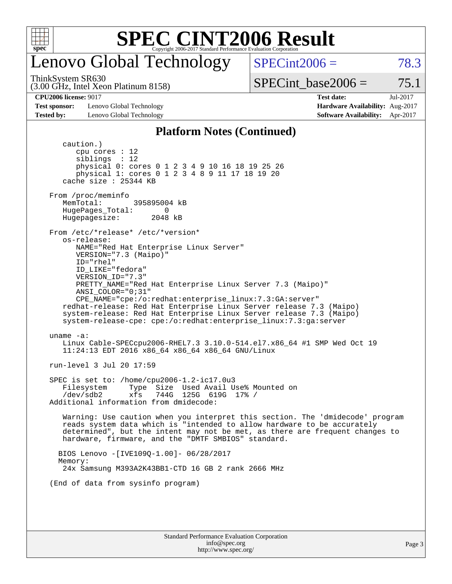

## enovo Global Technology

ThinkSystem SR630

 $SPECint2006 = 78.3$  $SPECint2006 = 78.3$ 

(3.00 GHz, Intel Xeon Platinum 8158)

SPECint base2006 =  $75.1$ 

**[Test sponsor:](http://www.spec.org/auto/cpu2006/Docs/result-fields.html#Testsponsor)** Lenovo Global Technology **[Hardware Availability:](http://www.spec.org/auto/cpu2006/Docs/result-fields.html#HardwareAvailability)** Aug-2017 **[Tested by:](http://www.spec.org/auto/cpu2006/Docs/result-fields.html#Testedby)** Lenovo Global Technology **[Software Availability:](http://www.spec.org/auto/cpu2006/Docs/result-fields.html#SoftwareAvailability)** Apr-2017

**[CPU2006 license:](http://www.spec.org/auto/cpu2006/Docs/result-fields.html#CPU2006license)** 9017 **[Test date:](http://www.spec.org/auto/cpu2006/Docs/result-fields.html#Testdate)** Jul-2017

#### **[Platform Notes \(Continued\)](http://www.spec.org/auto/cpu2006/Docs/result-fields.html#PlatformNotes)**

Standard Performance Evaluation Corporation caution.) cpu cores : 12 siblings : 12 physical 0: cores 0 1 2 3 4 9 10 16 18 19 25 26 physical 1: cores 0 1 2 3 4 8 9 11 17 18 19 20 cache size : 25344 KB From /proc/meminfo MemTotal: 395895004 kB HugePages\_Total: 0<br>Hugepagesize: 2048 kB Hugepagesize: From /etc/\*release\* /etc/\*version\* os-release: NAME="Red Hat Enterprise Linux Server" VERSION="7.3 (Maipo)" ID="rhel" ID\_LIKE="fedora" VERSION\_ID="7.3" PRETTY\_NAME="Red Hat Enterprise Linux Server 7.3 (Maipo)" ANSI\_COLOR="0;31" CPE\_NAME="cpe:/o:redhat:enterprise\_linux:7.3:GA:server" redhat-release: Red Hat Enterprise Linux Server release 7.3 (Maipo) system-release: Red Hat Enterprise Linux Server release 7.3 (Maipo) system-release-cpe: cpe:/o:redhat:enterprise\_linux:7.3:ga:server uname -a: Linux Cable-SPECcpu2006-RHEL7.3 3.10.0-514.el7.x86\_64 #1 SMP Wed Oct 19 11:24:13 EDT 2016 x86\_64 x86\_64 x86\_64 GNU/Linux run-level 3 Jul 20 17:59 SPEC is set to: /home/cpu2006-1.2-ic17.0u3 Filesystem Type Size Used Avail Use% Mounted on /dev/sdb2 xfs 744G 125G 619G 17% / Additional information from dmidecode: Warning: Use caution when you interpret this section. The 'dmidecode' program reads system data which is "intended to allow hardware to be accurately determined", but the intent may not be met, as there are frequent changes to hardware, firmware, and the "DMTF SMBIOS" standard. BIOS Lenovo -[IVE109Q-1.00]- 06/28/2017 Memory: 24x Samsung M393A2K43BB1-CTD 16 GB 2 rank 2666 MHz (End of data from sysinfo program)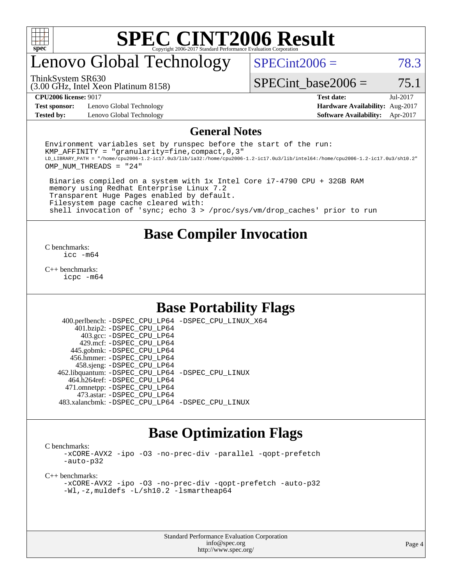

# enovo Global Technology

 $SPECint2006 = 78.3$  $SPECint2006 = 78.3$ 

(3.00 GHz, Intel Xeon Platinum 8158) ThinkSystem SR630

SPECint base2006 =  $75.1$ 

**[Test sponsor:](http://www.spec.org/auto/cpu2006/Docs/result-fields.html#Testsponsor)** Lenovo Global Technology **[Hardware Availability:](http://www.spec.org/auto/cpu2006/Docs/result-fields.html#HardwareAvailability)** Aug-2017 **[Tested by:](http://www.spec.org/auto/cpu2006/Docs/result-fields.html#Testedby)** Lenovo Global Technology **[Software Availability:](http://www.spec.org/auto/cpu2006/Docs/result-fields.html#SoftwareAvailability)** Apr-2017

**[CPU2006 license:](http://www.spec.org/auto/cpu2006/Docs/result-fields.html#CPU2006license)** 9017 **[Test date:](http://www.spec.org/auto/cpu2006/Docs/result-fields.html#Testdate)** Jul-2017

#### **[General Notes](http://www.spec.org/auto/cpu2006/Docs/result-fields.html#GeneralNotes)**

Environment variables set by runspec before the start of the run: KMP AFFINITY = "granularity=fine, compact,  $0,3$ " LD\_LIBRARY\_PATH = "/home/cpu2006-1.2-ic17.0u3/lib/ia32:/home/cpu2006-1.2-ic17.0u3/lib/intel64:/home/cpu2006-1.2-ic17.0u3/sh10.2" OMP\_NUM\_THREADS = "24"

 Binaries compiled on a system with 1x Intel Core i7-4790 CPU + 32GB RAM memory using Redhat Enterprise Linux 7.2 Transparent Huge Pages enabled by default. Filesystem page cache cleared with: shell invocation of 'sync; echo 3 > /proc/sys/vm/drop\_caches' prior to run

### **[Base Compiler Invocation](http://www.spec.org/auto/cpu2006/Docs/result-fields.html#BaseCompilerInvocation)**

[C benchmarks](http://www.spec.org/auto/cpu2006/Docs/result-fields.html#Cbenchmarks): [icc -m64](http://www.spec.org/cpu2006/results/res2017q4/cpu2006-20170918-49555.flags.html#user_CCbase_intel_icc_64bit_bda6cc9af1fdbb0edc3795bac97ada53)

[C++ benchmarks:](http://www.spec.org/auto/cpu2006/Docs/result-fields.html#CXXbenchmarks) [icpc -m64](http://www.spec.org/cpu2006/results/res2017q4/cpu2006-20170918-49555.flags.html#user_CXXbase_intel_icpc_64bit_fc66a5337ce925472a5c54ad6a0de310)

### **[Base Portability Flags](http://www.spec.org/auto/cpu2006/Docs/result-fields.html#BasePortabilityFlags)**

 400.perlbench: [-DSPEC\\_CPU\\_LP64](http://www.spec.org/cpu2006/results/res2017q4/cpu2006-20170918-49555.flags.html#b400.perlbench_basePORTABILITY_DSPEC_CPU_LP64) [-DSPEC\\_CPU\\_LINUX\\_X64](http://www.spec.org/cpu2006/results/res2017q4/cpu2006-20170918-49555.flags.html#b400.perlbench_baseCPORTABILITY_DSPEC_CPU_LINUX_X64) 401.bzip2: [-DSPEC\\_CPU\\_LP64](http://www.spec.org/cpu2006/results/res2017q4/cpu2006-20170918-49555.flags.html#suite_basePORTABILITY401_bzip2_DSPEC_CPU_LP64) 403.gcc: [-DSPEC\\_CPU\\_LP64](http://www.spec.org/cpu2006/results/res2017q4/cpu2006-20170918-49555.flags.html#suite_basePORTABILITY403_gcc_DSPEC_CPU_LP64) 429.mcf: [-DSPEC\\_CPU\\_LP64](http://www.spec.org/cpu2006/results/res2017q4/cpu2006-20170918-49555.flags.html#suite_basePORTABILITY429_mcf_DSPEC_CPU_LP64) 445.gobmk: [-DSPEC\\_CPU\\_LP64](http://www.spec.org/cpu2006/results/res2017q4/cpu2006-20170918-49555.flags.html#suite_basePORTABILITY445_gobmk_DSPEC_CPU_LP64) 456.hmmer: [-DSPEC\\_CPU\\_LP64](http://www.spec.org/cpu2006/results/res2017q4/cpu2006-20170918-49555.flags.html#suite_basePORTABILITY456_hmmer_DSPEC_CPU_LP64) 458.sjeng: [-DSPEC\\_CPU\\_LP64](http://www.spec.org/cpu2006/results/res2017q4/cpu2006-20170918-49555.flags.html#suite_basePORTABILITY458_sjeng_DSPEC_CPU_LP64) 462.libquantum: [-DSPEC\\_CPU\\_LP64](http://www.spec.org/cpu2006/results/res2017q4/cpu2006-20170918-49555.flags.html#suite_basePORTABILITY462_libquantum_DSPEC_CPU_LP64) [-DSPEC\\_CPU\\_LINUX](http://www.spec.org/cpu2006/results/res2017q4/cpu2006-20170918-49555.flags.html#b462.libquantum_baseCPORTABILITY_DSPEC_CPU_LINUX) 464.h264ref: [-DSPEC\\_CPU\\_LP64](http://www.spec.org/cpu2006/results/res2017q4/cpu2006-20170918-49555.flags.html#suite_basePORTABILITY464_h264ref_DSPEC_CPU_LP64) 471.omnetpp: [-DSPEC\\_CPU\\_LP64](http://www.spec.org/cpu2006/results/res2017q4/cpu2006-20170918-49555.flags.html#suite_basePORTABILITY471_omnetpp_DSPEC_CPU_LP64) 473.astar: [-DSPEC\\_CPU\\_LP64](http://www.spec.org/cpu2006/results/res2017q4/cpu2006-20170918-49555.flags.html#suite_basePORTABILITY473_astar_DSPEC_CPU_LP64) 483.xalancbmk: [-DSPEC\\_CPU\\_LP64](http://www.spec.org/cpu2006/results/res2017q4/cpu2006-20170918-49555.flags.html#suite_basePORTABILITY483_xalancbmk_DSPEC_CPU_LP64) [-DSPEC\\_CPU\\_LINUX](http://www.spec.org/cpu2006/results/res2017q4/cpu2006-20170918-49555.flags.html#b483.xalancbmk_baseCXXPORTABILITY_DSPEC_CPU_LINUX)

### **[Base Optimization Flags](http://www.spec.org/auto/cpu2006/Docs/result-fields.html#BaseOptimizationFlags)**

[C benchmarks](http://www.spec.org/auto/cpu2006/Docs/result-fields.html#Cbenchmarks):

[-xCORE-AVX2](http://www.spec.org/cpu2006/results/res2017q4/cpu2006-20170918-49555.flags.html#user_CCbase_f-xCORE-AVX2) [-ipo](http://www.spec.org/cpu2006/results/res2017q4/cpu2006-20170918-49555.flags.html#user_CCbase_f-ipo) [-O3](http://www.spec.org/cpu2006/results/res2017q4/cpu2006-20170918-49555.flags.html#user_CCbase_f-O3) [-no-prec-div](http://www.spec.org/cpu2006/results/res2017q4/cpu2006-20170918-49555.flags.html#user_CCbase_f-no-prec-div) [-parallel](http://www.spec.org/cpu2006/results/res2017q4/cpu2006-20170918-49555.flags.html#user_CCbase_f-parallel) [-qopt-prefetch](http://www.spec.org/cpu2006/results/res2017q4/cpu2006-20170918-49555.flags.html#user_CCbase_f-qopt-prefetch) [-auto-p32](http://www.spec.org/cpu2006/results/res2017q4/cpu2006-20170918-49555.flags.html#user_CCbase_f-auto-p32)

[C++ benchmarks:](http://www.spec.org/auto/cpu2006/Docs/result-fields.html#CXXbenchmarks)

[-xCORE-AVX2](http://www.spec.org/cpu2006/results/res2017q4/cpu2006-20170918-49555.flags.html#user_CXXbase_f-xCORE-AVX2) [-ipo](http://www.spec.org/cpu2006/results/res2017q4/cpu2006-20170918-49555.flags.html#user_CXXbase_f-ipo) [-O3](http://www.spec.org/cpu2006/results/res2017q4/cpu2006-20170918-49555.flags.html#user_CXXbase_f-O3) [-no-prec-div](http://www.spec.org/cpu2006/results/res2017q4/cpu2006-20170918-49555.flags.html#user_CXXbase_f-no-prec-div) [-qopt-prefetch](http://www.spec.org/cpu2006/results/res2017q4/cpu2006-20170918-49555.flags.html#user_CXXbase_f-qopt-prefetch) [-auto-p32](http://www.spec.org/cpu2006/results/res2017q4/cpu2006-20170918-49555.flags.html#user_CXXbase_f-auto-p32) [-Wl,-z,muldefs](http://www.spec.org/cpu2006/results/res2017q4/cpu2006-20170918-49555.flags.html#user_CXXbase_link_force_multiple1_74079c344b956b9658436fd1b6dd3a8a) [-L/sh10.2 -lsmartheap64](http://www.spec.org/cpu2006/results/res2017q4/cpu2006-20170918-49555.flags.html#user_CXXbase_SmartHeap64_63911d860fc08c15fa1d5bf319b9d8d5)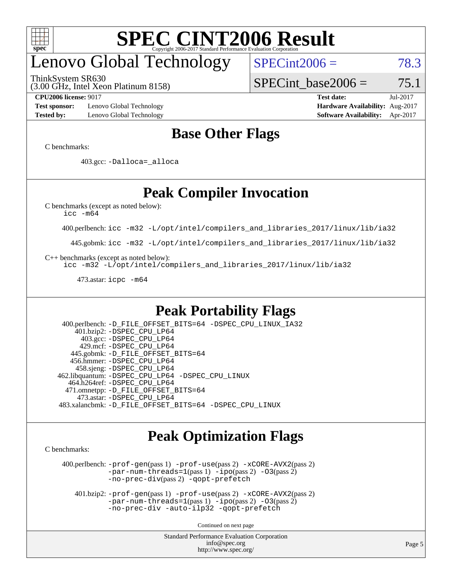

# enovo Global Technology

ThinkSystem SR630

 $SPECint2006 = 78.3$  $SPECint2006 = 78.3$ 

(3.00 GHz, Intel Xeon Platinum 8158)

SPECint base2006 =  $75.1$ 

**[Test sponsor:](http://www.spec.org/auto/cpu2006/Docs/result-fields.html#Testsponsor)** Lenovo Global Technology **[Hardware Availability:](http://www.spec.org/auto/cpu2006/Docs/result-fields.html#HardwareAvailability)** Aug-2017 **[Tested by:](http://www.spec.org/auto/cpu2006/Docs/result-fields.html#Testedby)** Lenovo Global Technology **[Software Availability:](http://www.spec.org/auto/cpu2006/Docs/result-fields.html#SoftwareAvailability)** Apr-2017

**[CPU2006 license:](http://www.spec.org/auto/cpu2006/Docs/result-fields.html#CPU2006license)** 9017 **[Test date:](http://www.spec.org/auto/cpu2006/Docs/result-fields.html#Testdate)** Jul-2017

### **[Base Other Flags](http://www.spec.org/auto/cpu2006/Docs/result-fields.html#BaseOtherFlags)**

[C benchmarks](http://www.spec.org/auto/cpu2006/Docs/result-fields.html#Cbenchmarks):

403.gcc: [-Dalloca=\\_alloca](http://www.spec.org/cpu2006/results/res2017q4/cpu2006-20170918-49555.flags.html#b403.gcc_baseEXTRA_CFLAGS_Dalloca_be3056838c12de2578596ca5467af7f3)

## **[Peak Compiler Invocation](http://www.spec.org/auto/cpu2006/Docs/result-fields.html#PeakCompilerInvocation)**

[C benchmarks \(except as noted below\)](http://www.spec.org/auto/cpu2006/Docs/result-fields.html#Cbenchmarksexceptasnotedbelow):

[icc -m64](http://www.spec.org/cpu2006/results/res2017q4/cpu2006-20170918-49555.flags.html#user_CCpeak_intel_icc_64bit_bda6cc9af1fdbb0edc3795bac97ada53)

400.perlbench: [icc -m32 -L/opt/intel/compilers\\_and\\_libraries\\_2017/linux/lib/ia32](http://www.spec.org/cpu2006/results/res2017q4/cpu2006-20170918-49555.flags.html#user_peakCCLD400_perlbench_intel_icc_c29f3ff5a7ed067b11e4ec10a03f03ae)

445.gobmk: [icc -m32 -L/opt/intel/compilers\\_and\\_libraries\\_2017/linux/lib/ia32](http://www.spec.org/cpu2006/results/res2017q4/cpu2006-20170918-49555.flags.html#user_peakCCLD445_gobmk_intel_icc_c29f3ff5a7ed067b11e4ec10a03f03ae)

[C++ benchmarks \(except as noted below\):](http://www.spec.org/auto/cpu2006/Docs/result-fields.html#CXXbenchmarksexceptasnotedbelow)

[icc -m32 -L/opt/intel/compilers\\_and\\_libraries\\_2017/linux/lib/ia32](http://www.spec.org/cpu2006/results/res2017q4/cpu2006-20170918-49555.flags.html#user_CXXpeak_intel_icc_c29f3ff5a7ed067b11e4ec10a03f03ae)

473.astar: [icpc -m64](http://www.spec.org/cpu2006/results/res2017q4/cpu2006-20170918-49555.flags.html#user_peakCXXLD473_astar_intel_icpc_64bit_fc66a5337ce925472a5c54ad6a0de310)

### **[Peak Portability Flags](http://www.spec.org/auto/cpu2006/Docs/result-fields.html#PeakPortabilityFlags)**

 400.perlbench: [-D\\_FILE\\_OFFSET\\_BITS=64](http://www.spec.org/cpu2006/results/res2017q4/cpu2006-20170918-49555.flags.html#user_peakPORTABILITY400_perlbench_file_offset_bits_64_438cf9856305ebd76870a2c6dc2689ab) [-DSPEC\\_CPU\\_LINUX\\_IA32](http://www.spec.org/cpu2006/results/res2017q4/cpu2006-20170918-49555.flags.html#b400.perlbench_peakCPORTABILITY_DSPEC_CPU_LINUX_IA32) 401.bzip2: [-DSPEC\\_CPU\\_LP64](http://www.spec.org/cpu2006/results/res2017q4/cpu2006-20170918-49555.flags.html#suite_peakPORTABILITY401_bzip2_DSPEC_CPU_LP64) 403.gcc: [-DSPEC\\_CPU\\_LP64](http://www.spec.org/cpu2006/results/res2017q4/cpu2006-20170918-49555.flags.html#suite_peakPORTABILITY403_gcc_DSPEC_CPU_LP64) 429.mcf: [-DSPEC\\_CPU\\_LP64](http://www.spec.org/cpu2006/results/res2017q4/cpu2006-20170918-49555.flags.html#suite_peakPORTABILITY429_mcf_DSPEC_CPU_LP64) 445.gobmk: [-D\\_FILE\\_OFFSET\\_BITS=64](http://www.spec.org/cpu2006/results/res2017q4/cpu2006-20170918-49555.flags.html#user_peakPORTABILITY445_gobmk_file_offset_bits_64_438cf9856305ebd76870a2c6dc2689ab) 456.hmmer: [-DSPEC\\_CPU\\_LP64](http://www.spec.org/cpu2006/results/res2017q4/cpu2006-20170918-49555.flags.html#suite_peakPORTABILITY456_hmmer_DSPEC_CPU_LP64) 458.sjeng: [-DSPEC\\_CPU\\_LP64](http://www.spec.org/cpu2006/results/res2017q4/cpu2006-20170918-49555.flags.html#suite_peakPORTABILITY458_sjeng_DSPEC_CPU_LP64) 462.libquantum: [-DSPEC\\_CPU\\_LP64](http://www.spec.org/cpu2006/results/res2017q4/cpu2006-20170918-49555.flags.html#suite_peakPORTABILITY462_libquantum_DSPEC_CPU_LP64) [-DSPEC\\_CPU\\_LINUX](http://www.spec.org/cpu2006/results/res2017q4/cpu2006-20170918-49555.flags.html#b462.libquantum_peakCPORTABILITY_DSPEC_CPU_LINUX) 464.h264ref: [-DSPEC\\_CPU\\_LP64](http://www.spec.org/cpu2006/results/res2017q4/cpu2006-20170918-49555.flags.html#suite_peakPORTABILITY464_h264ref_DSPEC_CPU_LP64) 471.omnetpp: [-D\\_FILE\\_OFFSET\\_BITS=64](http://www.spec.org/cpu2006/results/res2017q4/cpu2006-20170918-49555.flags.html#user_peakPORTABILITY471_omnetpp_file_offset_bits_64_438cf9856305ebd76870a2c6dc2689ab) 473.astar: [-DSPEC\\_CPU\\_LP64](http://www.spec.org/cpu2006/results/res2017q4/cpu2006-20170918-49555.flags.html#suite_peakPORTABILITY473_astar_DSPEC_CPU_LP64) 483.xalancbmk: [-D\\_FILE\\_OFFSET\\_BITS=64](http://www.spec.org/cpu2006/results/res2017q4/cpu2006-20170918-49555.flags.html#user_peakPORTABILITY483_xalancbmk_file_offset_bits_64_438cf9856305ebd76870a2c6dc2689ab) [-DSPEC\\_CPU\\_LINUX](http://www.spec.org/cpu2006/results/res2017q4/cpu2006-20170918-49555.flags.html#b483.xalancbmk_peakCXXPORTABILITY_DSPEC_CPU_LINUX)

### **[Peak Optimization Flags](http://www.spec.org/auto/cpu2006/Docs/result-fields.html#PeakOptimizationFlags)**

[C benchmarks](http://www.spec.org/auto/cpu2006/Docs/result-fields.html#Cbenchmarks):

 400.perlbench: [-prof-gen](http://www.spec.org/cpu2006/results/res2017q4/cpu2006-20170918-49555.flags.html#user_peakPASS1_CFLAGSPASS1_LDCFLAGS400_perlbench_prof_gen_e43856698f6ca7b7e442dfd80e94a8fc)(pass 1) [-prof-use](http://www.spec.org/cpu2006/results/res2017q4/cpu2006-20170918-49555.flags.html#user_peakPASS2_CFLAGSPASS2_LDCFLAGS400_perlbench_prof_use_bccf7792157ff70d64e32fe3e1250b55)(pass 2) [-xCORE-AVX2](http://www.spec.org/cpu2006/results/res2017q4/cpu2006-20170918-49555.flags.html#user_peakPASS2_CFLAGSPASS2_LDCFLAGS400_perlbench_f-xCORE-AVX2)(pass 2) [-par-num-threads=1](http://www.spec.org/cpu2006/results/res2017q4/cpu2006-20170918-49555.flags.html#user_peakPASS1_CFLAGSPASS1_LDCFLAGS400_perlbench_par_num_threads_786a6ff141b4e9e90432e998842df6c2)(pass 1) [-ipo](http://www.spec.org/cpu2006/results/res2017q4/cpu2006-20170918-49555.flags.html#user_peakPASS2_CFLAGSPASS2_LDCFLAGS400_perlbench_f-ipo)(pass 2) [-O3](http://www.spec.org/cpu2006/results/res2017q4/cpu2006-20170918-49555.flags.html#user_peakPASS2_CFLAGSPASS2_LDCFLAGS400_perlbench_f-O3)(pass 2) [-no-prec-div](http://www.spec.org/cpu2006/results/res2017q4/cpu2006-20170918-49555.flags.html#user_peakPASS2_CFLAGSPASS2_LDCFLAGS400_perlbench_f-no-prec-div)(pass 2) [-qopt-prefetch](http://www.spec.org/cpu2006/results/res2017q4/cpu2006-20170918-49555.flags.html#user_peakCOPTIMIZE400_perlbench_f-qopt-prefetch)

 401.bzip2: [-prof-gen](http://www.spec.org/cpu2006/results/res2017q4/cpu2006-20170918-49555.flags.html#user_peakPASS1_CFLAGSPASS1_LDCFLAGS401_bzip2_prof_gen_e43856698f6ca7b7e442dfd80e94a8fc)(pass 1) [-prof-use](http://www.spec.org/cpu2006/results/res2017q4/cpu2006-20170918-49555.flags.html#user_peakPASS2_CFLAGSPASS2_LDCFLAGS401_bzip2_prof_use_bccf7792157ff70d64e32fe3e1250b55)(pass 2) [-xCORE-AVX2](http://www.spec.org/cpu2006/results/res2017q4/cpu2006-20170918-49555.flags.html#user_peakPASS2_CFLAGSPASS2_LDCFLAGS401_bzip2_f-xCORE-AVX2)(pass 2)  $-par-num-threads=1(pass 1) -ipo(pass 2) -O3(pass 2)$  $-par-num-threads=1(pass 1) -ipo(pass 2) -O3(pass 2)$  $-par-num-threads=1(pass 1) -ipo(pass 2) -O3(pass 2)$  $-par-num-threads=1(pass 1) -ipo(pass 2) -O3(pass 2)$  $-par-num-threads=1(pass 1) -ipo(pass 2) -O3(pass 2)$  $-par-num-threads=1(pass 1) -ipo(pass 2) -O3(pass 2)$ [-no-prec-div](http://www.spec.org/cpu2006/results/res2017q4/cpu2006-20170918-49555.flags.html#user_peakCOPTIMIZEPASS2_CFLAGSPASS2_LDCFLAGS401_bzip2_f-no-prec-div) [-auto-ilp32](http://www.spec.org/cpu2006/results/res2017q4/cpu2006-20170918-49555.flags.html#user_peakCOPTIMIZE401_bzip2_f-auto-ilp32) [-qopt-prefetch](http://www.spec.org/cpu2006/results/res2017q4/cpu2006-20170918-49555.flags.html#user_peakCOPTIMIZE401_bzip2_f-qopt-prefetch)

Continued on next page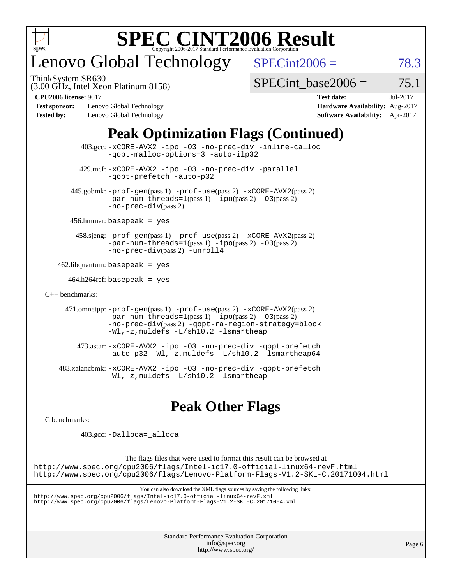

## enovo Global Technology

ThinkSystem SR630

 $SPECint2006 = 78.3$  $SPECint2006 = 78.3$ 

(3.00 GHz, Intel Xeon Platinum 8158)

 $SPECTnt\_base2006 = 75.1$ 

**[Test sponsor:](http://www.spec.org/auto/cpu2006/Docs/result-fields.html#Testsponsor)** Lenovo Global Technology **[Hardware Availability:](http://www.spec.org/auto/cpu2006/Docs/result-fields.html#HardwareAvailability)** Aug-2017 **[Tested by:](http://www.spec.org/auto/cpu2006/Docs/result-fields.html#Testedby)** Lenovo Global Technology **[Software Availability:](http://www.spec.org/auto/cpu2006/Docs/result-fields.html#SoftwareAvailability)** Apr-2017

**[CPU2006 license:](http://www.spec.org/auto/cpu2006/Docs/result-fields.html#CPU2006license)** 9017 **[Test date:](http://www.spec.org/auto/cpu2006/Docs/result-fields.html#Testdate)** Jul-2017

## **[Peak Optimization Flags \(Continued\)](http://www.spec.org/auto/cpu2006/Docs/result-fields.html#PeakOptimizationFlags)**

|                      | 403.gcc: -xCORE-AVX2 -ipo -03 -no-prec-div -inline-calloc<br>-gopt-malloc-options=3 -auto-ilp32                                                                                                                                                 |
|----------------------|-------------------------------------------------------------------------------------------------------------------------------------------------------------------------------------------------------------------------------------------------|
|                      | 429.mcf: -xCORE-AVX2 -ipo -03 -no-prec-div -parallel<br>-gopt-prefetch -auto-p32                                                                                                                                                                |
|                      | 445.gobmk: -prof-gen(pass 1) -prof-use(pass 2) -xCORE-AVX2(pass 2)<br>$-par-num-threads=1(pass 1) -ipo(pass 2) -03(pass 2)$<br>-no-prec-div(pass 2)                                                                                             |
|                      | $456.$ hmmer: basepeak = yes                                                                                                                                                                                                                    |
|                      | $458 \text{.}$ sjeng: $-\text{prof-gen}(pass 1)$ $-\text{prof-ges}(pass 2)$ $-\text{xCORE-AVX2}(pass 2)$<br>$-par-num-threads=1(pass 1) -ipo(pass 2) -03(pass 2)$<br>-no-prec-div(pass 2) -unroll4                                              |
|                      | $462$ .libquantum: basepeak = yes                                                                                                                                                                                                               |
|                      | $464.h264$ ref: basepeak = yes                                                                                                                                                                                                                  |
| $C_{++}$ benchmarks: |                                                                                                                                                                                                                                                 |
|                      | 471.omnetpp: -prof-gen(pass 1) -prof-use(pass 2) -xCORE-AVX2(pass 2)<br>$-par-num-threads=1(pass 1) -ipo(pass 2) -03(pass 2)$<br>-no-prec-div(pass 2) -qopt-ra-region-strategy=block<br>$-Wl$ , $-z$ , muldefs $-L/\nabla L$ , 2 $-l$ smartheap |
|                      | 473.astar: -xCORE-AVX2 -ipo -03 -no-prec-div -qopt-prefetch<br>$-$ auto-p32 -Wl,-z, muldefs -L/sh10.2 -lsmartheap64                                                                                                                             |
|                      | 483.xalancbmk: -xCORE-AVX2 -ipo -03 -no-prec-div -qopt-prefetch<br>-Wl,-z, muldefs -L/sh10.2 -lsmartheap                                                                                                                                        |

## **[Peak Other Flags](http://www.spec.org/auto/cpu2006/Docs/result-fields.html#PeakOtherFlags)**

[C benchmarks](http://www.spec.org/auto/cpu2006/Docs/result-fields.html#Cbenchmarks):

403.gcc: [-Dalloca=\\_alloca](http://www.spec.org/cpu2006/results/res2017q4/cpu2006-20170918-49555.flags.html#b403.gcc_peakEXTRA_CFLAGS_Dalloca_be3056838c12de2578596ca5467af7f3)

The flags files that were used to format this result can be browsed at <http://www.spec.org/cpu2006/flags/Intel-ic17.0-official-linux64-revF.html> <http://www.spec.org/cpu2006/flags/Lenovo-Platform-Flags-V1.2-SKL-C.20171004.html>

You can also download the XML flags sources by saving the following links:

<http://www.spec.org/cpu2006/flags/Intel-ic17.0-official-linux64-revF.xml> <http://www.spec.org/cpu2006/flags/Lenovo-Platform-Flags-V1.2-SKL-C.20171004.xml>